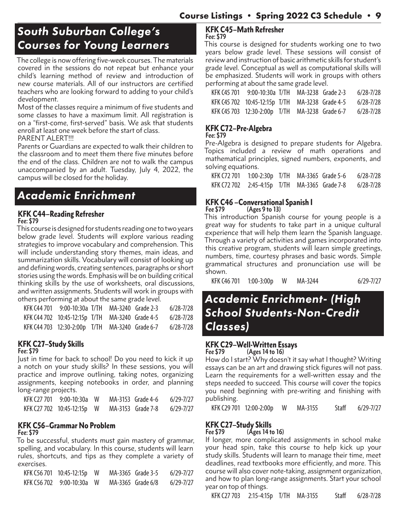## *South Suburban College's Courses for Young Learners*

The college is now offering five-week courses. The materials covered in the sessions do not repeat but enhance your child's learning method of review and introduction of new course materials. All of our instructors are certified teachers who are looking forward to adding to your child's development.

Most of the classes require a minimum of five students and some classes to have a maximum limit. All registration is on a "first-come, first-served" basis. We ask that students enroll at least one week before the start of class.

PARENT ALERT!!!

Parents or Guardians are expected to walk their children to the classroom and to meet them there five minutes before the end of the class. Children are not to walk the campus unaccompanied by an adult. Tuesday, July 4, 2022, the campus will be closed for the holiday.

## *Academic Enrichment*

### KFK C44–Reading Refresher **Fee: \$79**

This course is designed for students reading one to two years below grade level. Students will explore various reading strategies to improve vocabulary and comprehension. This will include understanding story themes, main ideas, and summarization skills. Vocabulary will consist of looking up and defining words, creating sentences, paragraphs or short stories using the words. Emphasis will be on building critical thinking skills by the use of worksheets, oral discussions, and written assignments. Students will work in groups with others performing at about the same grade level.

|  | KFK C44 701 9:00-10:30a T/TH MA-3240 Grade 2-3  | $6/28 - 7/28$ |
|--|-------------------------------------------------|---------------|
|  | KFK C44 702 10:45-12:15p T/TH MA-3240 Grade 4-5 | $6/28 - 7/28$ |
|  | KFK C44 703 12:30-2:00p T/TH MA-3240 Grade 6-7  | $6/28 - 7/28$ |

#### KFK C27–Study Skills **Fee: \$79**

Just in time for back to school! Do you need to kick it up a notch on your study skills? In these sessions, you will practice and improve outlining, taking notes, organizing assignments, keeping notebooks in order, and planning long-range projects.

| KFK C27 701 9:00-10:30a W  |  | MA-3153 Grade 4-6 | 6/29-7/27 |
|----------------------------|--|-------------------|-----------|
| KFK C27 702 10:45-12:15p W |  | MA-3153 Grade 7-8 | 6/29-7/27 |

## KFK C56–Grammar No Problem **Fee: \$79**

To be successful, students must gain mastery of grammar, spelling, and vocabulary. In this course, students will learn rules, shortcuts, and tips as they complete a variety of exercises.

| KFK C56 701 10:45-12:15p W |  | MA-3365 Grade 3-5 | 6/29-7/27 |
|----------------------------|--|-------------------|-----------|
| KFK C56 702 9:00-10:30a W  |  | MA-3365 Grade 6/8 | 6/29-7/27 |

#### KFK C45–Math Refresher **Fee: \$79**

This course is designed for students working one to two years below grade level. These sessions will consist of review and instruction of basic arithmetic skills for student's grade level. Conceptual as well as computational skills will be emphasized. Students will work in groups with others performing at about the same grade level.

| KFK C45 701 | 9:00-10:30a T/TH                                | MA-3238 Grade 2-3 | $6/28 - 7/28$ |
|-------------|-------------------------------------------------|-------------------|---------------|
|             | KFK C45 702 10:45-12:15p T/TH MA-3238 Grade 4-5 |                   | 6/28-7/28     |
|             | KFK C45 703 12:30-2:00p T/TH MA-3238 Grade 6-7  |                   | $6/28 - 7/28$ |

## KFK C72–Pre-Algebra

**Fee: \$79**

Pre-Algebra is designed to prepare students for Algebra. Topics included a review of math operations and mathematical principles, signed numbers, exponents, and solving equations.

KFK C72 701 1:00-2:30p T/TH MA-3365 Grade 5-6 6/28-7/28 KFK C72 702 2:45-4:15p T/TH MA-3365 Grade 7-8 6/28-7/28

#### **KFK C46 – Conversational Spanish I** Fee \$79 (Ages 9 to 13) **Fee \$79 (Ages 9 to 13)**

This introduction Spanish course for young people is a great way for students to take part in a unique cultural experience that will help them learn the Spanish language. Through a variety of activities and games incorporated into this creative program, students will learn simple greetings, numbers, time, courtesy phrases and basic words. Simple grammatical structures and pronunciation use will be shown.

KFK C46 701 1:00-3:00p W MA-3244 6/29-7/27

## *Academic Enrichment- (High School Students-Non-Credit Classes)*

#### **KFK C29-Well-Written Essays**<br>Fee \$79 (Ages 14 to 16) **Fee \$79 (Ages 14 to 16)**

How do I start? Why doesn't it say what I thought? Writing essays can be an art and drawing stick figures will not pass. Learn the requirements for a well-written essay and the steps needed to succeed. This course will cover the topics you need beginning with pre-writing and finishing with publishing.

KFK C29 701 12:00-2:00p W MA-3155 Staff 6/29-7/27

## **KFK C27–Study Skills**<br>Fee \$79 (Ages 14 to

**Fee \$79 (Ages 14 to 16)**

If longer, more complicated assignments in school make your head spin, take this course to help kick up your study skills. Students will learn to manage their time, meet deadlines, read textbooks more efficiently, and more. This course will also cover note-taking, assignment organization, and how to plan long-range assignments. Start your school year on top of things.

KFK C27 703 2:15-4:15p T/TH MA-3155 Staff 6/28-7/28